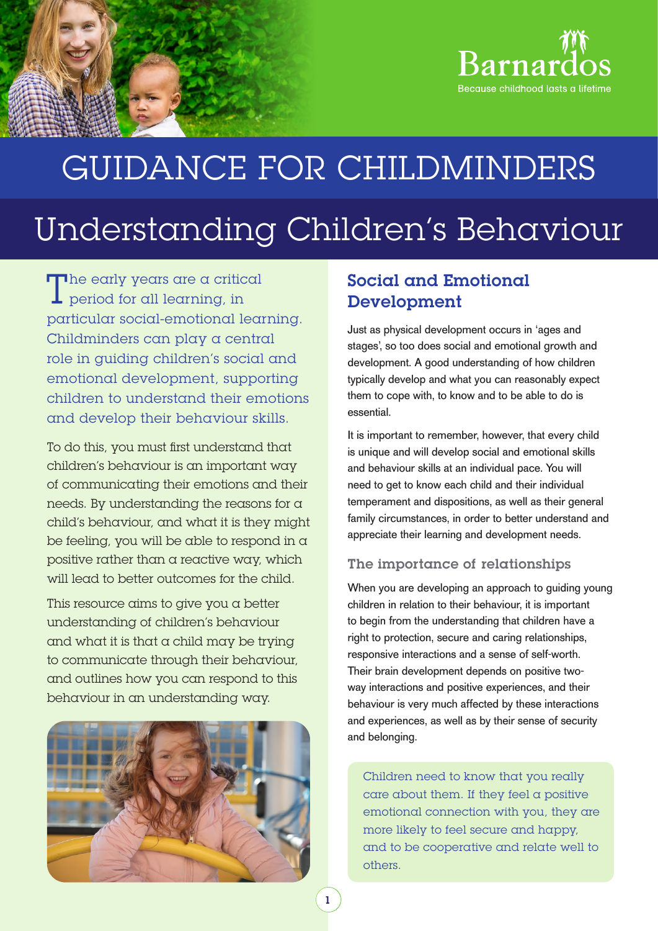

# GUIDANCE FOR CHILDMINDERS

## Understanding Children's Behaviour

The early years are a critical  $\perp$  period for all learning, in particular social-emotional learning. Childminders can play a central role in guiding children's social and emotional development, supporting children to understand their emotions and develop their behaviour skills.

To do this, you must first understand that children's behaviour is an important way of communicating their emotions and their needs. By understanding the reasons for a child's behaviour, and what it is they might be feeling, you will be able to respond in a positive rather than a reactive way, which will lead to better outcomes for the child.

This resource aims to give you a better understanding of children's behaviour and what it is that a child may be trying to communicate through their behaviour, and outlines how you can respond to this behaviour in an understanding way.



## Social and Emotional Development

Just as physical development occurs in 'ages and stages', so too does social and emotional growth and development. A good understanding of how children typically develop and what you can reasonably expect them to cope with, to know and to be able to do is essential.

It is important to remember, however, that every child is unique and will develop social and emotional skills and behaviour skills at an individual pace. You will need to get to know each child and their individual temperament and dispositions, as well as their general family circumstances, in order to better understand and appreciate their learning and development needs.

#### The importance of relationships

When you are developing an approach to quiding young children in relation to their behaviour, it is important to begin from the understanding that children have a right to protection, secure and caring relationships, responsive interactions and a sense of self-worth. Their brain development depends on positive twoway interactions and positive experiences, and their behaviour is very much affected by these interactions and experiences, as well as by their sense of security and belonging.

Children need to know that you really care about them. If they feel a positive emotional connection with you, they are more likely to feel secure and happy, and to be cooperative and relate well to others.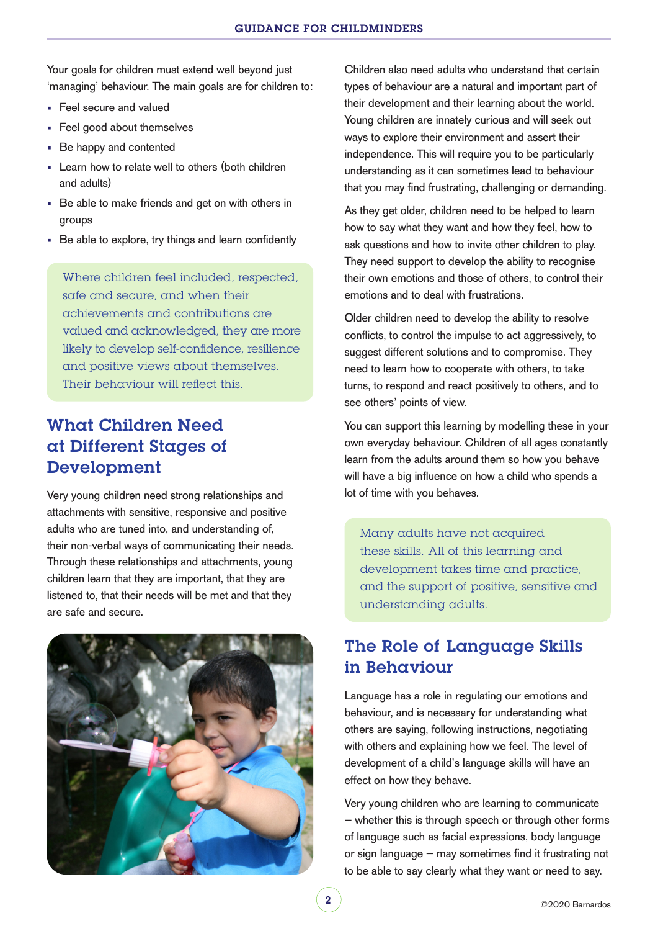Your goals for children must extend well beyond just 'managing' behaviour. The main goals are for children to:

- **Feel secure and valued**
- **Feel good about themselves**
- Be happy and contented
- Learn how to relate well to others (both children and adults)
- Be able to make friends and get on with others in groups
- Be able to explore, try things and learn confidently

Where children feel included, respected, safe and secure, and when their achievements and contributions are valued and acknowledged, they are more likely to develop self-confidence, resilience and positive views about themselves. Their behaviour will reflect this.

## What Children Need at Different Stages of Development

Very young children need strong relationships and attachments with sensitive, responsive and positive adults who are tuned into, and understanding of, their non-verbal ways of communicating their needs. Through these relationships and attachments, young children learn that they are important, that they are listened to, that their needs will be met and that they are safe and secure.



Children also need adults who understand that certain types of behaviour are a natural and important part of their development and their learning about the world. Young children are innately curious and will seek out ways to explore their environment and assert their independence. This will require you to be particularly understanding as it can sometimes lead to behaviour that you may find frustrating, challenging or demanding.

As they get older, children need to be helped to learn how to say what they want and how they feel, how to ask questions and how to invite other children to play. They need support to develop the ability to recognise their own emotions and those of others, to control their emotions and to deal with frustrations.

Older children need to develop the ability to resolve conflicts, to control the impulse to act aggressively, to suggest different solutions and to compromise. They need to learn how to cooperate with others, to take turns, to respond and react positively to others, and to see others' points of view.

You can support this learning by modelling these in your own everyday behaviour. Children of all ages constantly learn from the adults around them so how you behave will have a big influence on how a child who spends a lot of time with you behaves.

Many adults have not acquired these skills. All of this learning and development takes time and practice, and the support of positive, sensitive and understanding adults.

## The Role of Language Skills in Behaviour

Language has a role in regulating our emotions and behaviour, and is necessary for understanding what others are saying, following instructions, negotiating with others and explaining how we feel. The level of development of a child's language skills will have an effect on how they behave.

Very young children who are learning to communicate – whether this is through speech or through other forms of language such as facial expressions, body language or sign language – may sometimes find it frustrating not to be able to say clearly what they want or need to say.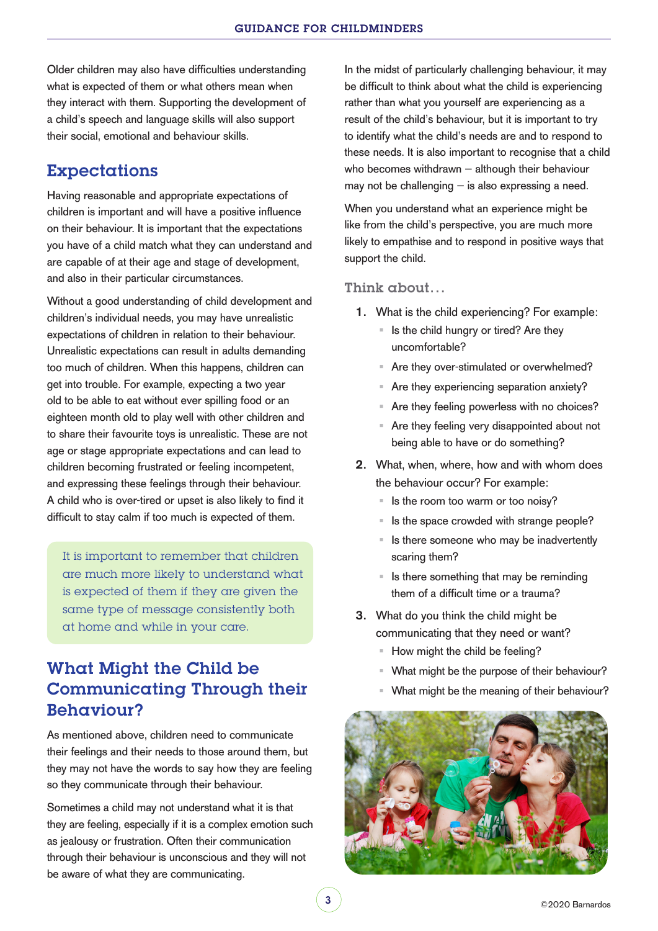Older children may also have difficulties understanding what is expected of them or what others mean when they interact with them. Supporting the development of a child's speech and language skills will also support their social, emotional and behaviour skills.

### Expectations

Having reasonable and appropriate expectations of children is important and will have a positive influence on their behaviour. It is important that the expectations you have of a child match what they can understand and are capable of at their age and stage of development, and also in their particular circumstances.

Without a good understanding of child development and children's individual needs, you may have unrealistic expectations of children in relation to their behaviour. Unrealistic expectations can result in adults demanding too much of children. When this happens, children can get into trouble. For example, expecting a two year old to be able to eat without ever spilling food or an eighteen month old to play well with other children and to share their favourite toys is unrealistic. These are not age or stage appropriate expectations and can lead to children becoming frustrated or feeling incompetent, and expressing these feelings through their behaviour. A child who is over-tired or upset is also likely to find it difficult to stay calm if too much is expected of them.

It is important to remember that children are much more likely to understand what is expected of them if they are given the same type of message consistently both at home and while in your care.

## What Might the Child be Communicating Through their Behaviour?

As mentioned above, children need to communicate their feelings and their needs to those around them, but they may not have the words to say how they are feeling so they communicate through their behaviour.

Sometimes a child may not understand what it is that they are feeling, especially if it is a complex emotion such as jealousy or frustration. Often their communication through their behaviour is unconscious and they will not be aware of what they are communicating.

In the midst of particularly challenging behaviour, it may be difficult to think about what the child is experiencing rather than what you yourself are experiencing as a result of the child's behaviour, but it is important to try to identify what the child's needs are and to respond to these needs. It is also important to recognise that a child who becomes withdrawn – although their behaviour may not be challenging  $-$  is also expressing a need.

When you understand what an experience might be like from the child's perspective, you are much more likely to empathise and to respond in positive ways that support the child.

#### Think about…

- 1. What is the child experiencing? For example:
	- $\blacksquare$  Is the child hungry or tired? Are they uncomfortable?
	- Are they over-stimulated or overwhelmed?
	- Are they experiencing separation anxiety?
	- Are they feeling powerless with no choices?
	- Are they feeling very disappointed about not being able to have or do something?
- 2. What, when, where, how and with whom does the behaviour occur? For example:
	- $\blacksquare$  Is the room too warm or too noisy?
	- Is the space crowded with strange people?
	- $\blacksquare$  Is there someone who may be inadvertently scaring them?
	- $\blacksquare$  Is there something that may be reminding them of a difficult time or a trauma?
- 3. What do you think the child might be communicating that they need or want?
	- How might the child be feeling?
	- What might be the purpose of their behaviour?
	- What might be the meaning of their behaviour?

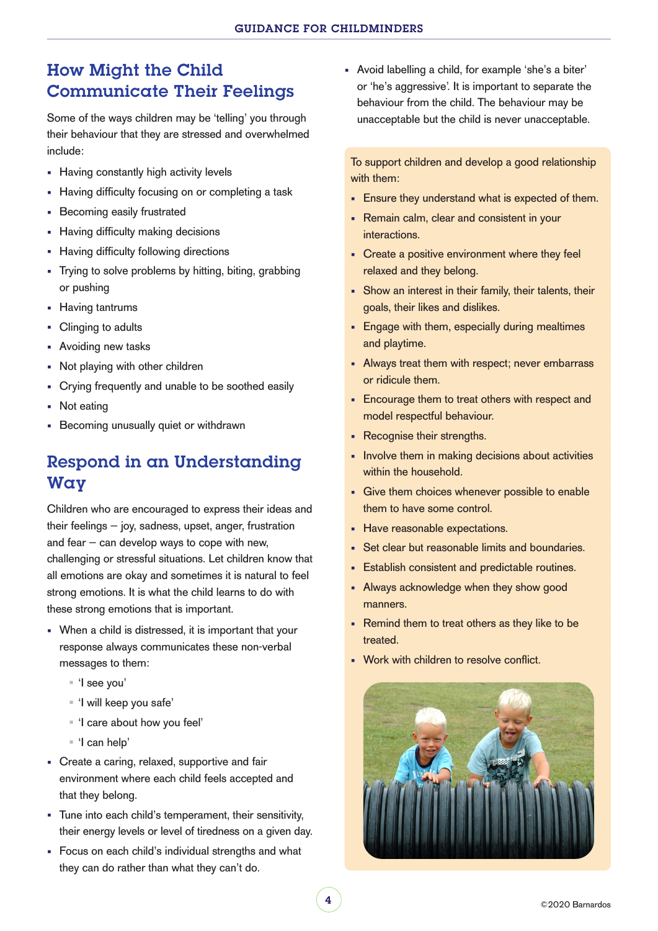## How Might the Child Communicate Their Feelings

Some of the ways children may be 'telling' you through their behaviour that they are stressed and overwhelmed include:

- **Having constantly high activity levels**
- Having difficulty focusing on or completing a task
- **Becoming easily frustrated**
- Having difficulty making decisions
- **Having difficulty following directions**
- Trying to solve problems by hitting, biting, grabbing or pushing
- **Having tantrums**
- Clinging to adults
- **Avoiding new tasks**
- Not playing with other children
- Crying frequently and unable to be soothed easily
- Not eating
- Becoming unusually quiet or withdrawn

## Respond in an Understanding Way

Children who are encouraged to express their ideas and their feelings – joy, sadness, upset, anger, frustration and fear  $-$  can develop ways to cope with new, challenging or stressful situations. Let children know that all emotions are okay and sometimes it is natural to feel strong emotions. It is what the child learns to do with these strong emotions that is important.

- When a child is distressed, it is important that your response always communicates these non-verbal messages to them:
	- 'I see you'
	- 'I will keep you safe'
	- 'I care about how you feel'
	- 'I can help'
- Create a caring, relaxed, supportive and fair environment where each child feels accepted and that they belong.
- Tune into each child's temperament, their sensitivity, their energy levels or level of tiredness on a given day.
- Focus on each child's individual strengths and what they can do rather than what they can't do.

 Avoid labelling a child, for example 'she's a biter' or 'he's aggressive'. It is important to separate the behaviour from the child. The behaviour may be unacceptable but the child is never unacceptable.

To support children and develop a good relationship with them:

- **Ensure they understand what is expected of them.**
- Remain calm, clear and consistent in your interactions.
- Create a positive environment where they feel relaxed and they belong.
- Show an interest in their family, their talents, their goals, their likes and dislikes.
- **Engage with them, especially during mealtimes** and playtime.
- Always treat them with respect; never embarrass or ridicule them.
- **Encourage them to treat others with respect and** model respectful behaviour.
- **Recognise their strengths.**
- **Involve them in making decisions about activities** within the household.
- Give them choices whenever possible to enable them to have some control.
- **Have reasonable expectations.**
- Set clear but reasonable limits and boundaries.
- **Establish consistent and predictable routines.**
- Always acknowledge when they show good manners.
- **Remind them to treat others as they like to be** treated.
- **Work with children to resolve conflict.**